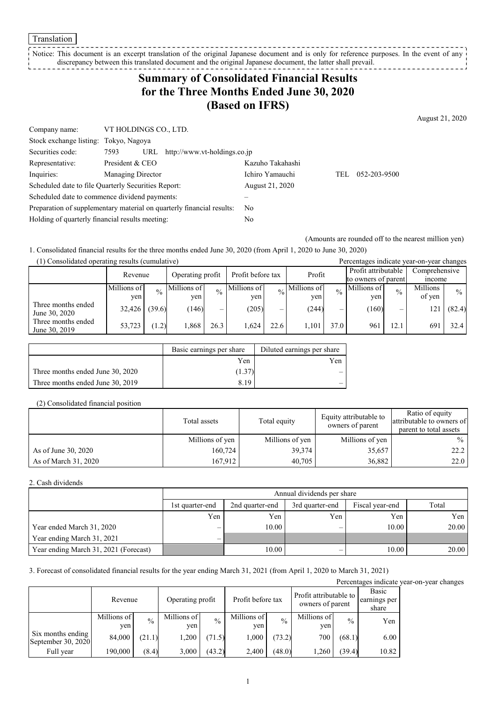Translation

Notice: This document is an excerpt translation of the original Japanese document and is only for reference purposes. In the event of any discrepancy between this translated document and the original Japanese document, the latter shall prevail.

## **Summary of Consolidated Financial Results for the Three Months Ended June 30, 2020 (Based on IFRS)**

Company name: VT HOLDINGS CO., LTD. Stock exchange listing: Tokyo, Nagoya Securities code: 7593 URL http://www.vt-holdings.co.jp Representative: President & CEO Kazuho Takahashi Inquiries: Managing Director Ichiro Yamauchi TEL 052-203-9500 Scheduled date to file Quarterly Securities Report: August 21, 2020 Scheduled date to commence dividend payments: – Preparation of supplementary material on quarterly financial results: No Holding of quarterly financial results meeting: No

(Amounts are rounded off to the nearest million yen)

1. Consolidated financial results for the three months ended June 30, 2020 (from April 1, 2020 to June 30, 2020)

| (1) Consolidated operating results (cumulative) |             |               |                  |               |                   |      |                            |               | Percentages indicate year-on-year changes |               |               |               |
|-------------------------------------------------|-------------|---------------|------------------|---------------|-------------------|------|----------------------------|---------------|-------------------------------------------|---------------|---------------|---------------|
|                                                 | Revenue     |               | Operating profit |               | Profit before tax |      | Profit                     |               | Profit attributable                       |               | Comprehensive |               |
|                                                 |             |               |                  |               |                   |      |                            |               | to owners of parent                       |               | <i>n</i> come |               |
|                                                 | Millions of | $\frac{0}{0}$ | Millions of      | $\frac{0}{0}$ | Millions of       |      | $\frac{1}{20}$ Millions of | $\frac{0}{0}$ | Millions of                               | $\frac{0}{0}$ | Millions      | $\frac{0}{0}$ |
|                                                 | yen.        |               | ven              |               | ven               |      | ven                        |               | yen                                       |               | of yen        |               |
| Three months ended<br>June 30, 2020             | 32,426      | (39.6)        | (146)            |               | (205)             | _    | (244)                      | —             | (160)                                     | –             | 21            | (82.4)        |
| Three months ended<br>June 30, 2019             | 53,723      | (1.2)         | 1,868            | 26.3          | 1.624             | 22.6 | 1.101                      | 37.0          | 961                                       | 12.1          | 691           | 32.4          |

|                                  | Basic earnings per share | Diluted earnings per share |
|----------------------------------|--------------------------|----------------------------|
|                                  | Yen                      | Yen                        |
| Three months ended June 30, 2020 | (1.37)                   |                            |
| Three months ended June 30, 2019 | 8.19                     |                            |

#### (2) Consolidated financial position

|                      | Total assets    | Total equity    | Equity attributable to<br>owners of parent | Ratio of equity<br>attributable to owners of<br>parent to total assets |
|----------------------|-----------------|-----------------|--------------------------------------------|------------------------------------------------------------------------|
|                      | Millions of yen | Millions of yen | Millions of yen                            | $\%$                                                                   |
| As of June 30, 2020  | 160,724         | 39,374          | 35,657                                     | 22.2                                                                   |
| As of March 31, 2020 | 167.912         | 40,705          | 36,882                                     | 22.0                                                                   |

#### 2. Cash dividends

|                                       |                          |                 | Annual dividends per share |                 |       |
|---------------------------------------|--------------------------|-----------------|----------------------------|-----------------|-------|
|                                       | 1st quarter-end          | 2nd quarter-end | 3rd quarter-end            | Fiscal year-end | Total |
|                                       | Yen                      | Yen             | Yen                        | Yen             | Yen   |
| Year ended March 31, 2020             | —                        | 10.00           |                            | 10.00           | 20.00 |
| Year ending March 31, 2021            | $\overline{\phantom{0}}$ |                 |                            |                 |       |
| Year ending March 31, 2021 (Forecast) |                          | 10.00           |                            | 10.00           | 20.00 |

3. Forecast of consolidated financial results for the year ending March 31, 2021 (from April 1, 2020 to March 31, 2021)

|                                         |                    |               |                    |               |                    |               |                                            |               |                                | Percentages indicate year-on-year changes |
|-----------------------------------------|--------------------|---------------|--------------------|---------------|--------------------|---------------|--------------------------------------------|---------------|--------------------------------|-------------------------------------------|
|                                         | Revenue            |               | Operating profit   |               | Profit before tax  |               | Profit attributable to<br>owners of parent |               | Basic<br>earnings per<br>share |                                           |
|                                         | Millions of<br>yen | $\frac{0}{0}$ | Millions of<br>yen | $\frac{0}{0}$ | Millions of<br>ven | $\frac{0}{0}$ | Millions of<br>yen                         | $\frac{0}{0}$ | Yen                            |                                           |
| Six months ending<br>September 30, 2020 | 84,000             | (21.1)        | 1,200              | (71.5)        | 000                | (73.2)        | 700                                        | (68.1)        | 6.00                           |                                           |
| Full year                               | 190,000            | (8.4)         | 3,000              | (43.2)        | 2,400              | (48.0)        | 1,260                                      | (39.4)        | 10.82                          |                                           |

August 21, 2020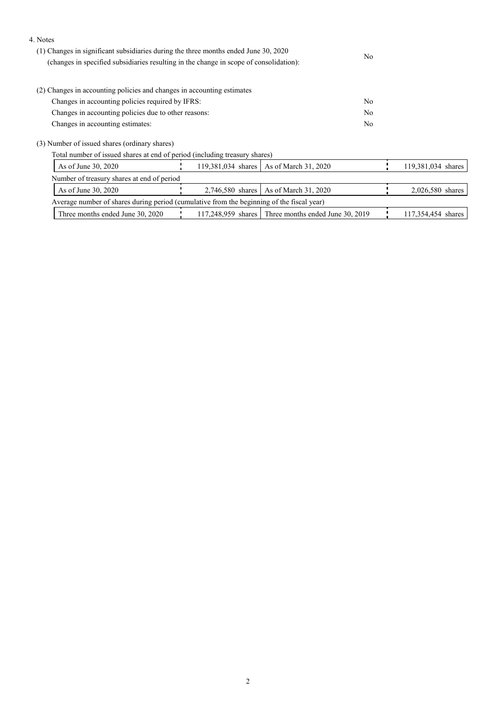#### 4. Notes

| (1) Changes in significant subsidiaries during the three months ended June 30, 2020<br>(changes in specified subsidiaries resulting in the change in scope of consolidation): | No             |
|-------------------------------------------------------------------------------------------------------------------------------------------------------------------------------|----------------|
| (2) Changes in accounting policies and changes in accounting estimates                                                                                                        |                |
| Changes in accounting policies required by IFRS:                                                                                                                              | No             |
| Changes in accounting policies due to other reasons:                                                                                                                          | N <sub>0</sub> |
| Changes in accounting estimates:                                                                                                                                              | No             |

(3) Number of issued shares (ordinary shares)

Total number of issued shares at end of period (including treasury shares)

| As of June 30, 2020                                                                       |  | 119,381,034 shares   As of March 31, 2020             | 119,381,034 shares |
|-------------------------------------------------------------------------------------------|--|-------------------------------------------------------|--------------------|
| Number of treasury shares at end of period                                                |  |                                                       |                    |
| As of June 30, 2020                                                                       |  | 2,746,580 shares   As of March 31, 2020               | 2,026,580 shares   |
| Average number of shares during period (cumulative from the beginning of the fiscal year) |  |                                                       |                    |
| Three months ended June 30, 2020                                                          |  | $117,248,959$ shares Three months ended June 30, 2019 | 117,354,454 shares |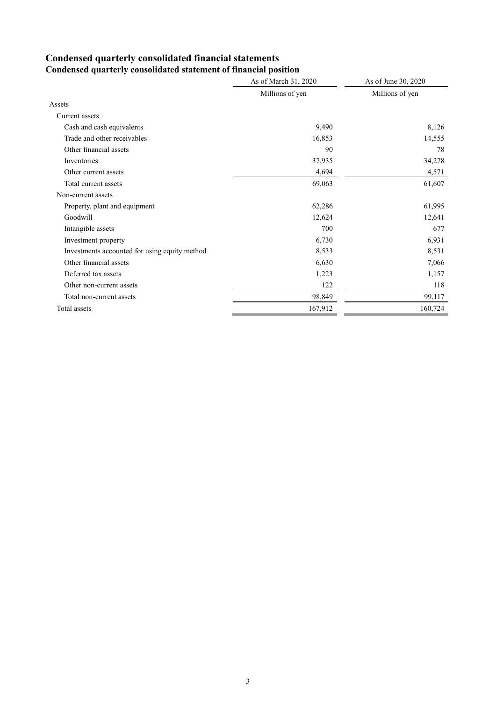# **Condensed quarterly consolidated financial statements**

|                                               | As of March 31, 2020 | As of June 30, 2020 |
|-----------------------------------------------|----------------------|---------------------|
|                                               | Millions of yen      | Millions of yen     |
| Assets                                        |                      |                     |
| Current assets                                |                      |                     |
| Cash and cash equivalents                     | 9,490                | 8,126               |
| Trade and other receivables                   | 16,853               | 14,555              |
| Other financial assets                        | 90                   | 78                  |
| Inventories                                   | 37,935               | 34,278              |
| Other current assets                          | 4,694                | 4,571               |
| Total current assets                          | 69,063               | 61,607              |
| Non-current assets                            |                      |                     |
| Property, plant and equipment                 | 62,286               | 61,995              |
| Goodwill                                      | 12,624               | 12,641              |
| Intangible assets                             | 700                  | 677                 |
| Investment property                           | 6,730                | 6,931               |
| Investments accounted for using equity method | 8,533                | 8,531               |
| Other financial assets                        | 6,630                | 7,066               |
| Deferred tax assets                           | 1,223                | 1,157               |
| Other non-current assets                      | 122                  | 118                 |
| Total non-current assets                      | 98,849               | 99,117              |
| Total assets                                  | 167,912              | 160,724             |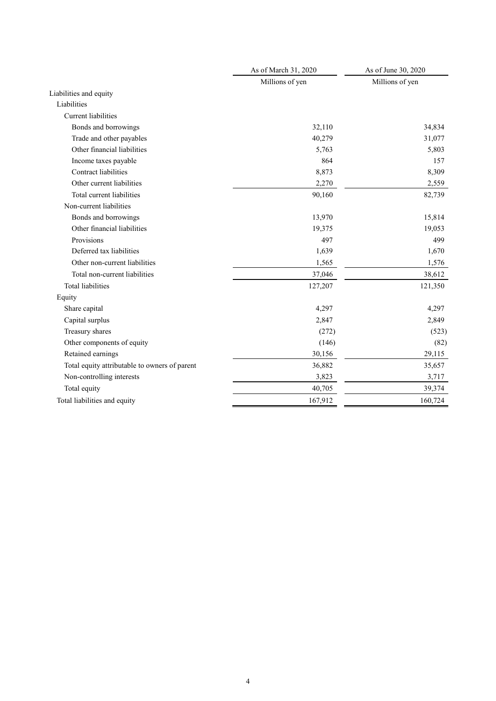|                                               | As of March 31, 2020 | As of June 30, 2020 |  |
|-----------------------------------------------|----------------------|---------------------|--|
|                                               | Millions of yen      | Millions of yen     |  |
| Liabilities and equity                        |                      |                     |  |
| Liabilities                                   |                      |                     |  |
| <b>Current</b> liabilities                    |                      |                     |  |
| Bonds and borrowings                          | 32,110               | 34,834              |  |
| Trade and other payables                      | 40,279               | 31,077              |  |
| Other financial liabilities                   | 5,763                | 5,803               |  |
| Income taxes payable                          | 864                  | 157                 |  |
| <b>Contract liabilities</b>                   | 8,873                | 8,309               |  |
| Other current liabilities                     | 2,270                | 2,559               |  |
| Total current liabilities                     | 90,160               | 82,739              |  |
| Non-current liabilities                       |                      |                     |  |
| Bonds and borrowings                          | 13,970               | 15,814              |  |
| Other financial liabilities                   | 19,375               | 19,053              |  |
| Provisions                                    | 497                  | 499                 |  |
| Deferred tax liabilities                      | 1,639                | 1,670               |  |
| Other non-current liabilities                 | 1,565                | 1,576               |  |
| Total non-current liabilities                 | 37,046               | 38,612              |  |
| <b>Total liabilities</b>                      | 127,207              | 121,350             |  |
| Equity                                        |                      |                     |  |
| Share capital                                 | 4,297                | 4,297               |  |
| Capital surplus                               | 2,847                | 2,849               |  |
| Treasury shares                               | (272)                | (523)               |  |
| Other components of equity                    | (146)                | (82)                |  |
| Retained earnings                             | 30,156               | 29,115              |  |
| Total equity attributable to owners of parent | 36,882               | 35,657              |  |
| Non-controlling interests                     | 3,823                | 3,717               |  |
| Total equity                                  | 40,705               | 39,374              |  |
| Total liabilities and equity                  | 167,912              | 160,724             |  |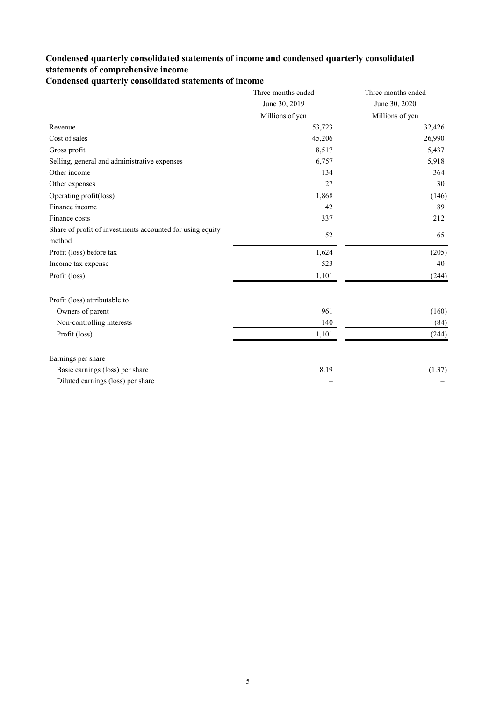### **Condensed quarterly consolidated statements of income and condensed quarterly consolidated statements of comprehensive income**

**Condensed quarterly consolidated statements of income**

|                                                                     | Three months ended | Three months ended |
|---------------------------------------------------------------------|--------------------|--------------------|
|                                                                     | June 30, 2019      | June 30, 2020      |
|                                                                     | Millions of yen    | Millions of yen    |
| Revenue                                                             | 53,723             | 32,426             |
| Cost of sales                                                       | 45,206             | 26,990             |
| Gross profit                                                        | 8,517              | 5,437              |
| Selling, general and administrative expenses                        | 6,757              | 5,918              |
| Other income                                                        | 134                | 364                |
| Other expenses                                                      | 27                 | 30                 |
| Operating profit(loss)                                              | 1,868              | (146)              |
| Finance income                                                      | 42                 | 89                 |
| Finance costs                                                       | 337                | 212                |
| Share of profit of investments accounted for using equity<br>method | 52                 | 65                 |
| Profit (loss) before tax                                            | 1,624              | (205)              |
| Income tax expense                                                  | 523                | 40                 |
| Profit (loss)                                                       | 1,101              | (244)              |
| Profit (loss) attributable to                                       |                    |                    |
| Owners of parent                                                    | 961                | (160)              |
| Non-controlling interests                                           | 140                | (84)               |
| Profit (loss)                                                       | 1,101              | (244)              |
| Earnings per share                                                  |                    |                    |
| Basic earnings (loss) per share                                     | 8.19               | (1.37)             |
| Diluted earnings (loss) per share                                   |                    |                    |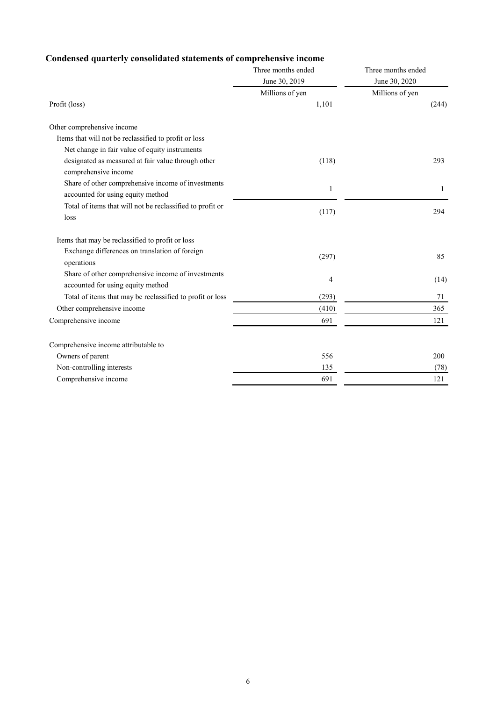### **Condensed quarterly consolidated statements of comprehensive income**

|                                                                                         | Three months ended       | Three months ended       |
|-----------------------------------------------------------------------------------------|--------------------------|--------------------------|
|                                                                                         | June 30, 2019            | June 30, 2020            |
| Profit (loss)                                                                           | Millions of yen<br>1,101 | Millions of yen<br>(244) |
| Other comprehensive income                                                              |                          |                          |
| Items that will not be reclassified to profit or loss                                   |                          |                          |
| Net change in fair value of equity instruments                                          |                          |                          |
| designated as measured at fair value through other<br>comprehensive income              | (118)                    | 293                      |
| Share of other comprehensive income of investments<br>accounted for using equity method | 1                        | 1                        |
| Total of items that will not be reclassified to profit or<br>loss                       | (117)                    | 294                      |
| Items that may be reclassified to profit or loss                                        |                          |                          |
| Exchange differences on translation of foreign<br>operations                            | (297)                    | 85                       |
| Share of other comprehensive income of investments<br>accounted for using equity method | 4                        | (14)                     |
| Total of items that may be reclassified to profit or loss                               | (293)                    | 71                       |
| Other comprehensive income                                                              | (410)                    | 365                      |
| Comprehensive income                                                                    | 691                      | 121                      |
| Comprehensive income attributable to                                                    |                          |                          |
| Owners of parent                                                                        | 556                      | 200                      |
| Non-controlling interests                                                               | 135                      | (78)                     |
| Comprehensive income                                                                    | 691                      | 121                      |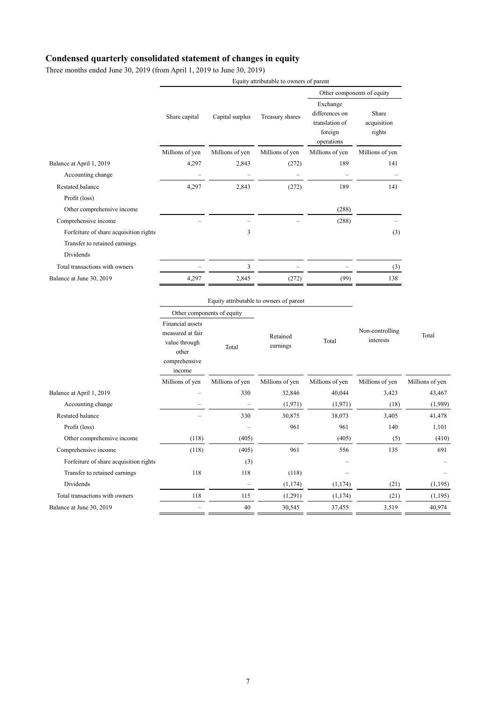### **Condensed quarterly consolidated statement of changes in equity**

Three months ended June 30, 2019 (from April 1, 2019 to June 30, 2019)

|                                        |                                                                                 |                            | Equity attributable to owners of parent |                                  | Other components of equity<br>Exchange<br>Share<br>acquisition<br>foreign<br>rights<br>operations<br>Millions of yen<br>189<br>141<br>$\overline{\phantom{0}}$<br>189<br>141 |  |  |  |
|----------------------------------------|---------------------------------------------------------------------------------|----------------------------|-----------------------------------------|----------------------------------|------------------------------------------------------------------------------------------------------------------------------------------------------------------------------|--|--|--|
|                                        |                                                                                 |                            |                                         |                                  |                                                                                                                                                                              |  |  |  |
|                                        | Share capital                                                                   | Capital surplus            | Treasury shares                         | differences on<br>translation of |                                                                                                                                                                              |  |  |  |
|                                        | Millions of yen                                                                 | Millions of yen            | Millions of yen                         | Millions of yen                  |                                                                                                                                                                              |  |  |  |
| Balance at April 1, 2019               | 4,297                                                                           | 2,843                      | (272)                                   |                                  |                                                                                                                                                                              |  |  |  |
| Accounting change                      | ÷                                                                               |                            | $\overline{\phantom{m}}$                |                                  |                                                                                                                                                                              |  |  |  |
| Restated balance                       | 4,297                                                                           | 2,843                      | (272)                                   |                                  |                                                                                                                                                                              |  |  |  |
| Profit (loss)                          |                                                                                 |                            |                                         |                                  |                                                                                                                                                                              |  |  |  |
| Other comprehensive income             |                                                                                 |                            |                                         | (288)                            |                                                                                                                                                                              |  |  |  |
| Comprehensive income                   |                                                                                 |                            |                                         | (288)                            |                                                                                                                                                                              |  |  |  |
| Forfeiture of share acquisition rights |                                                                                 | 3                          |                                         |                                  | (3)                                                                                                                                                                          |  |  |  |
| Transfer to retained earnings          |                                                                                 |                            |                                         |                                  |                                                                                                                                                                              |  |  |  |
| Dividends                              |                                                                                 |                            |                                         |                                  |                                                                                                                                                                              |  |  |  |
| Total transactions with owners         |                                                                                 | 3                          |                                         |                                  | (3)                                                                                                                                                                          |  |  |  |
| Balance at June 30, 2019               | 4,297                                                                           | 2,845                      | (272)                                   | (99)                             | 138                                                                                                                                                                          |  |  |  |
|                                        |                                                                                 |                            | Equity attributable to owners of parent |                                  |                                                                                                                                                                              |  |  |  |
|                                        |                                                                                 | Other components of equity |                                         |                                  |                                                                                                                                                                              |  |  |  |
|                                        | Financial assets<br>measured at fair<br>value through<br>other<br>comprehensive | Total                      | Retained<br>earnings                    | Total                            | Non-controlling<br>interests                                                                                                                                                 |  |  |  |

|                                        | Millions of yen | Millions of yen | Millions of yen | Millions of yen | Millions of yen | Millions of yen |
|----------------------------------------|-----------------|-----------------|-----------------|-----------------|-----------------|-----------------|
| Balance at April 1, 2019               |                 | 330             | 32,846          | 40,044          | 3,423           | 43,467          |
| Accounting change                      |                 |                 | (1,971)         | (1,971)         | (18)            | (1,989)         |
| Restated balance                       |                 | 330             | 30,875          | 38,073          | 3,405           | 41,478          |
| Profit (loss)                          |                 |                 | 961             | 961             | 140             | 1,101           |
| Other comprehensive income             | (118)           | (405)           |                 | (405)           | (5)             | (410)           |
| Comprehensive income                   | (118)           | (405)           | 961             | 556             | 135             | 691             |
| Forfeiture of share acquisition rights |                 | (3)             |                 |                 |                 |                 |
| Transfer to retained earnings          | 118             | 118             | (118)           |                 |                 |                 |
| Dividends                              |                 |                 | (1,174)         | (1, 174)        | (21)            | (1,195)         |
| Total transactions with owners         | 118             | 115             | (1,291)         | (1,174)         | (21)            | (1,195)         |
| Balance at June 30, 2019               |                 | 40              | 30,545          | 37,455          | 3,519           | 40,974          |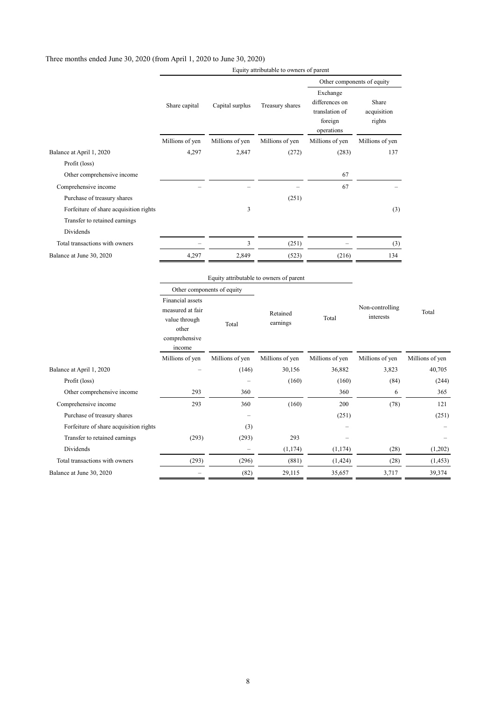#### Three months ended June 30, 2020 (from April 1, 2020 to June 30, 2020)

|                                                                         |                                                       |                            |                                                     | Other components of equity                                            |                                |                 |
|-------------------------------------------------------------------------|-------------------------------------------------------|----------------------------|-----------------------------------------------------|-----------------------------------------------------------------------|--------------------------------|-----------------|
|                                                                         | Share capital                                         | Capital surplus            | Treasury shares                                     | Exchange<br>differences on<br>translation of<br>foreign<br>operations | Share<br>acquisition<br>rights |                 |
|                                                                         | Millions of yen                                       | Millions of yen            | Millions of yen                                     | Millions of yen                                                       | Millions of yen                |                 |
| Balance at April 1, 2020                                                | 4,297                                                 | 2,847                      | (272)                                               | (283)                                                                 | 137                            |                 |
| Profit (loss)                                                           |                                                       |                            |                                                     |                                                                       |                                |                 |
| Other comprehensive income                                              |                                                       |                            |                                                     | 67                                                                    |                                |                 |
| Comprehensive income                                                    |                                                       |                            |                                                     | 67                                                                    |                                |                 |
| Purchase of treasury shares                                             |                                                       |                            | (251)                                               |                                                                       |                                |                 |
| Forfeiture of share acquisition rights<br>Transfer to retained earnings |                                                       | 3                          |                                                     |                                                                       | (3)                            |                 |
| Dividends                                                               |                                                       |                            |                                                     |                                                                       |                                |                 |
| Total transactions with owners                                          |                                                       | $\overline{\mathbf{3}}$    | (251)                                               |                                                                       | (3)                            |                 |
| Balance at June 30, 2020                                                | 4,297                                                 | 2,849                      | (523)                                               | (216)                                                                 | 134                            |                 |
|                                                                         | Financial assets<br>measured at fair<br>value through | Other components of equity | Equity attributable to owners of parent<br>Retained | Total                                                                 | Non-controlling<br>interests   | Total           |
|                                                                         | other<br>comprehensive<br>income                      | Total                      | earnings                                            |                                                                       |                                |                 |
|                                                                         | Millions of yen                                       | Millions of yen            | Millions of yen                                     | Millions of yen                                                       | Millions of yen                | Millions of yen |
| Balance at April 1, 2020                                                |                                                       | (146)                      | 30,156                                              | 36,882                                                                | 3,823                          | 40,705          |
| Profit (loss)                                                           |                                                       |                            | (160)                                               | (160)                                                                 | (84)                           | (244)           |
| Other comprehensive income                                              | 293                                                   | 360                        |                                                     | 360                                                                   | 6                              | 365             |
| Comprehensive income                                                    | 293                                                   | 360                        | (160)                                               | 200                                                                   | (78)                           | 121             |
| Purchase of treasury shares                                             |                                                       |                            |                                                     | (251)                                                                 |                                | (251)           |
| Forfeiture of share acquisition rights                                  |                                                       | (3)                        |                                                     |                                                                       |                                |                 |
| Transfer to retained earnings                                           | (293)                                                 | (293)                      | 293                                                 |                                                                       |                                |                 |
| Dividends                                                               |                                                       |                            | (1, 174)                                            | (1, 174)                                                              | (28)                           | (1,202)         |
| Total transactions with owners                                          | (293)                                                 | (296)                      | (881)                                               | (1,424)                                                               | (28)                           | (1, 453)        |
| Balance at June 30, 2020                                                |                                                       | (82)                       | 29,115                                              | 35,657                                                                | 3,717                          | 39,374          |

Equity attributable to owners of parent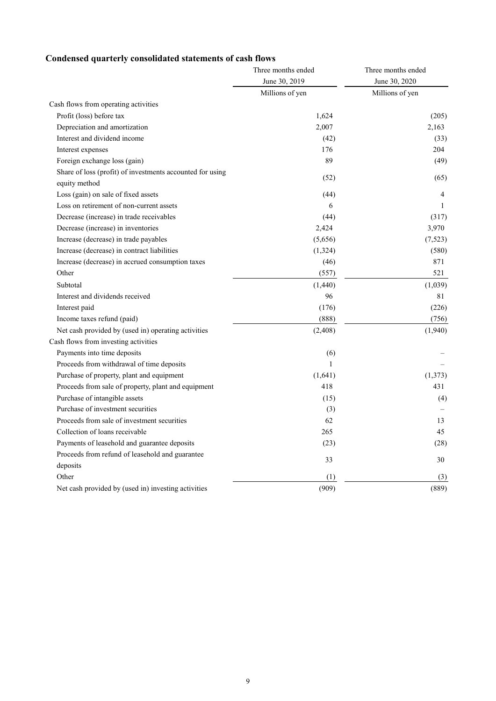### **Condensed quarterly consolidated statements of cash flows**

|                                                                            | Three months ended | Three months ended |  |
|----------------------------------------------------------------------------|--------------------|--------------------|--|
|                                                                            | June 30, 2019      | June 30, 2020      |  |
|                                                                            | Millions of yen    | Millions of yen    |  |
| Cash flows from operating activities                                       |                    |                    |  |
| Profit (loss) before tax                                                   | 1,624              | (205)              |  |
| Depreciation and amortization                                              | 2,007              | 2,163              |  |
| Interest and dividend income                                               | (42)               | (33)               |  |
| Interest expenses                                                          | 176                | 204                |  |
| Foreign exchange loss (gain)                                               | 89                 | (49)               |  |
| Share of loss (profit) of investments accounted for using<br>equity method | (52)               | (65)               |  |
| Loss (gain) on sale of fixed assets                                        | (44)               | $\overline{4}$     |  |
| Loss on retirement of non-current assets                                   | 6                  | 1                  |  |
| Decrease (increase) in trade receivables                                   | (44)               | (317)              |  |
| Decrease (increase) in inventories                                         | 2,424              | 3,970              |  |
| Increase (decrease) in trade payables                                      | (5,656)            | (7,523)            |  |
| Increase (decrease) in contract liabilities                                | (1, 324)           | (580)              |  |
| Increase (decrease) in accrued consumption taxes                           | (46)               | 871                |  |
| Other                                                                      | (557)              | 521                |  |
| Subtotal                                                                   | (1,440)            | (1,039)            |  |
| Interest and dividends received                                            | 96                 | 81                 |  |
| Interest paid                                                              | (176)              | (226)              |  |
| Income taxes refund (paid)                                                 | (888)              | (756)              |  |
| Net cash provided by (used in) operating activities                        | (2, 408)           | (1,940)            |  |
| Cash flows from investing activities                                       |                    |                    |  |
| Payments into time deposits                                                | (6)                |                    |  |
| Proceeds from withdrawal of time deposits                                  | $\mathbf{1}$       |                    |  |
| Purchase of property, plant and equipment                                  | (1,641)            | (1,373)            |  |
| Proceeds from sale of property, plant and equipment                        | 418                | 431                |  |
| Purchase of intangible assets                                              | (15)               | (4)                |  |
| Purchase of investment securities                                          | (3)                |                    |  |
| Proceeds from sale of investment securities                                | 62                 | 13                 |  |
| Collection of loans receivable                                             | 265                | 45                 |  |
| Payments of leasehold and guarantee deposits                               | (23)               | (28)               |  |
| Proceeds from refund of leasehold and guarantee                            | 33                 | 30                 |  |
| deposits                                                                   |                    |                    |  |
| Other                                                                      | (1)                | (3)                |  |
| Net cash provided by (used in) investing activities                        | (909)              | (889)              |  |